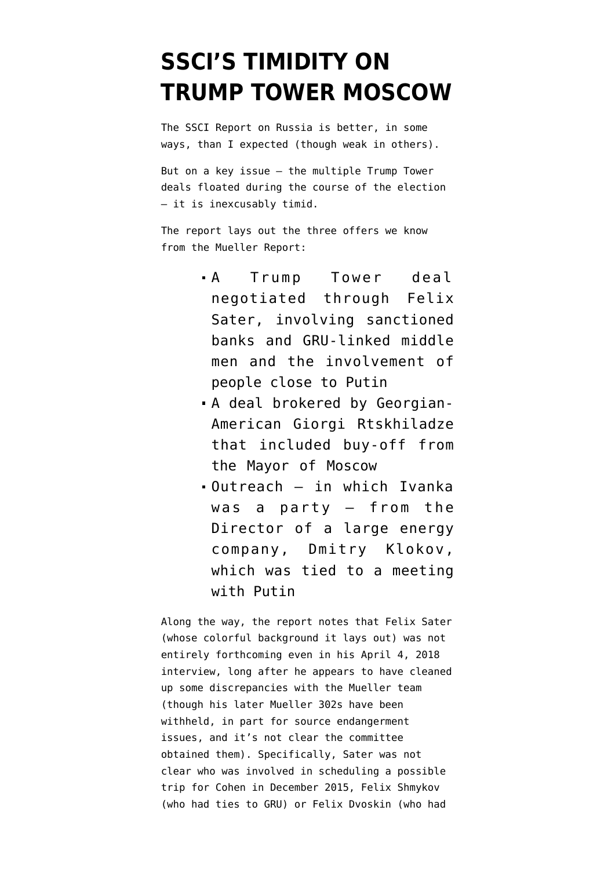# **[SSCI'S TIMIDITY ON](https://www.emptywheel.net/2020/08/20/sscis-timidity-on-trump-tower-moscow/) [TRUMP TOWER MOSCOW](https://www.emptywheel.net/2020/08/20/sscis-timidity-on-trump-tower-moscow/)**

The [SSCI Report on Russia](https://www.documentcloud.org/documents/7039357-200818-SSCI-Russia-Report.html) is better, in some ways, than I expected (though weak in others).

But on a key issue — the multiple Trump Tower deals floated during the course of the election — it is inexcusably timid.

The report lays out the three offers we know from the Mueller Report:

- A Trump Tower deal negotiated through Felix Sater, involving sanctioned banks and GRU-linked middle men and the involvement of people close to Putin
- A deal brokered by Georgian-American Giorgi Rtskhiladze that included buy-off from the Mayor of Moscow
- Outreach in which Ivanka was a party — from the Director of a large energy company, Dmitry Klokov, which was tied to a meeting with Putin

Along the way, the report notes that Felix Sater (whose colorful background it lays out) was not entirely forthcoming even in his April 4, 2018 interview, long after he appears to have cleaned up some discrepancies with the Mueller team (though his later Mueller 302s have been withheld, in part for source endangerment issues, and it's not clear the committee obtained them). Specifically, Sater was not clear who was involved in scheduling a possible trip for Cohen in December 2015, Felix Shmykov (who had ties to GRU) or Felix Dvoskin (who had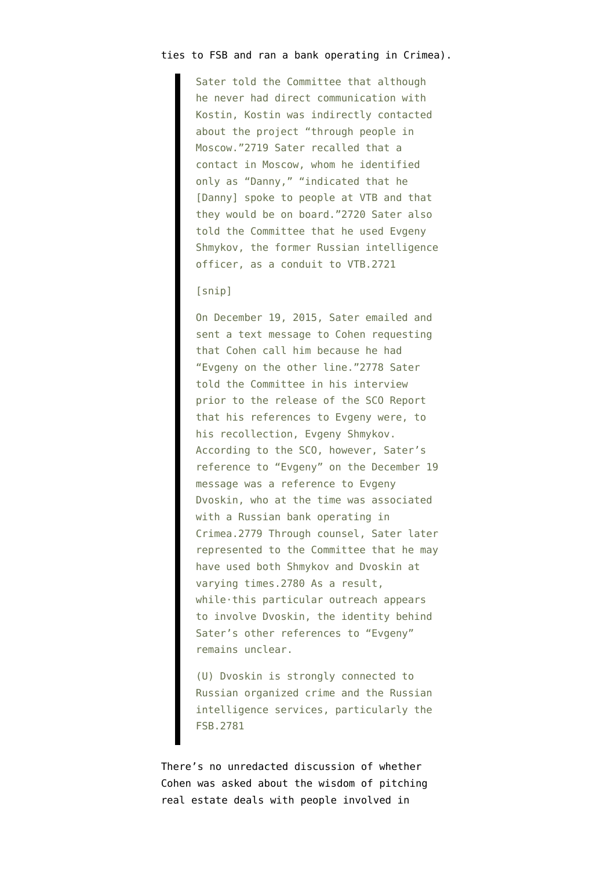### ties to FSB and ran a bank operating in Crimea).

Sater told the Committee that although he never had direct communication with Kostin, Kostin was indirectly contacted about the project "through people in Moscow."2719 Sater recalled that a contact in Moscow, whom he identified only as "Danny," "indicated that he [Danny] spoke to people at VTB and that they would be on board."2720 Sater also told the Committee that he used Evgeny Shmykov, the former Russian intelligence officer, as a conduit to VTB.2721

## [snip]

On December 19, 2015, Sater emailed and sent a text message to Cohen requesting that Cohen call him because he had "Evgeny on the other line."2778 Sater told the Committee in his interview prior to the release of the SCO Report that his references to Evgeny were, to his recollection, Evgeny Shmykov. According to the SCO, however, Sater's reference to "Evgeny" on the December 19 message was a reference to Evgeny Dvoskin, who at the time was associated with a Russian bank operating in Crimea.2779 Through counsel, Sater later represented to the Committee that he may have used both Shmykov and Dvoskin at varying times.2780 As a result, while·this particular outreach appears to involve Dvoskin, the identity behind Sater's other references to "Evgeny" remains unclear.

(U) Dvoskin is strongly connected to Russian organized crime and the Russian intelligence services, particularly the FSB.2781

There's no unredacted discussion of whether Cohen was asked about the wisdom of pitching real estate deals with people involved in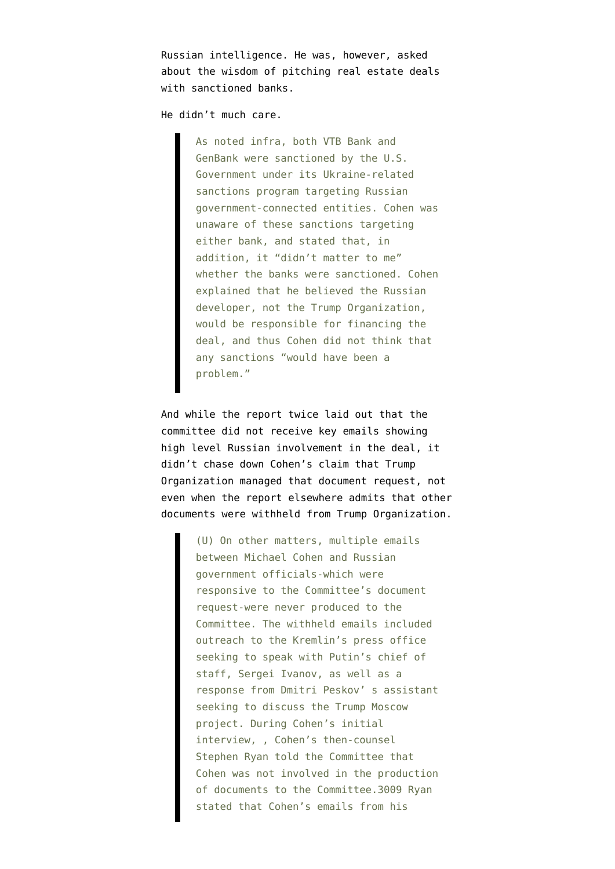Russian intelligence. He was, however, asked about the wisdom of pitching real estate deals with sanctioned banks.

He didn't much care.

As noted infra, both VTB Bank and GenBank were sanctioned by the U.S. Government under its Ukraine-related sanctions program targeting Russian government-connected entities. Cohen was unaware of these sanctions targeting either bank, and stated that, in addition, it "didn't matter to me" whether the banks were sanctioned. Cohen explained that he believed the Russian developer, not the Trump Organization, would be responsible for financing the deal, and thus Cohen did not think that any sanctions "would have been a problem."

And while the report twice laid out that the committee did not receive key emails showing high level Russian involvement in the deal, it didn't chase down Cohen's claim that Trump Organization managed that document request, not even when the report elsewhere admits that other documents were withheld from Trump Organization.

> (U) On other matters, multiple emails between Michael Cohen and Russian government officials-which were responsive to the Committee's document request-were never produced to the Committee. The withheld emails included outreach to the Kremlin's press office seeking to speak with Putin's chief of staff, Sergei Ivanov, as well as a response from Dmitri Peskov' s assistant seeking to discuss the Trump Moscow project. During Cohen's initial interview, , Cohen's then-counsel Stephen Ryan told the Committee that Cohen was not involved in the production of documents to the Committee.3009 Ryan stated that Cohen's emails from his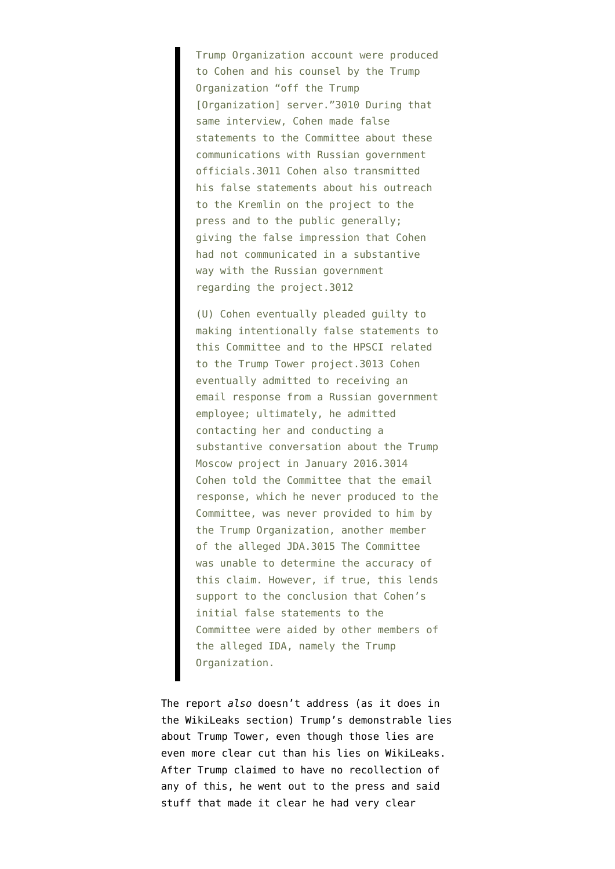Trump Organization account were produced to Cohen and his counsel by the Trump Organization "off the Trump [Organization] server."3010 During that same interview, Cohen made false statements to the Committee about these communications with Russian government officials.3011 Cohen also transmitted his false statements about his outreach to the Kremlin on the project to the press and to the public generally; giving the false impression that Cohen had not communicated in a substantive way with the Russian government regarding the project.3012

(U) Cohen eventually pleaded guilty to making intentionally false statements to this Committee and to the HPSCI related to the Trump Tower project.3013 Cohen eventually admitted to receiving an email response from a Russian government employee; ultimately, he admitted contacting her and conducting a substantive conversation about the Trump Moscow project in January 2016.3014 Cohen told the Committee that the email response, which he never produced to the Committee, was never provided to him by the Trump Organization, another member of the alleged JDA.3015 The Committee was unable to determine the accuracy of this claim. However, if true, this lends support to the conclusion that Cohen's initial false statements to the Committee were aided by other members of the alleged IDA, namely the Trump Organization.

The report *also* doesn't address (as it does in the WikiLeaks section) [Trump's demonstrable lies](https://www.emptywheel.net/2019/07/22/congress-already-has-evidence-trump-lied-under-oath-to-robert-mueller/) [about Trump Tower,](https://www.emptywheel.net/2019/07/22/congress-already-has-evidence-trump-lied-under-oath-to-robert-mueller/) even though those lies are even more clear cut than his lies on WikiLeaks. After Trump claimed to have no recollection of any of this, he went out to the press and said stuff that made it clear he had very clear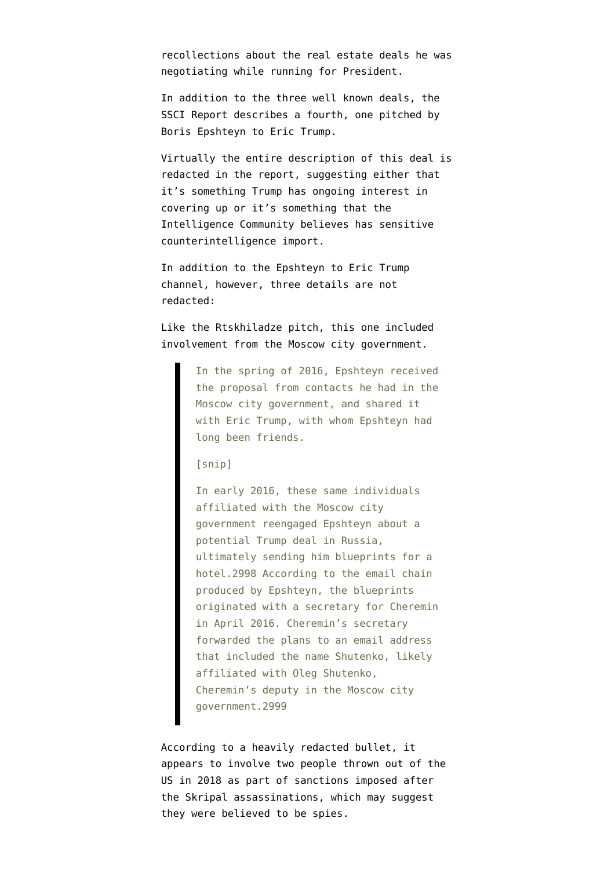recollections about the real estate deals he was negotiating while running for President.

In addition to the three well known deals, [the](https://www.documentcloud.org/documents/7039357-200818-SSCI-Russia-Report.html#document/p472/a124) [SSCI Report describes a fourth,](https://www.documentcloud.org/documents/7039357-200818-SSCI-Russia-Report.html#document/p472/a124) one pitched by Boris Epshteyn to Eric Trump.

Virtually the entire description of this deal is redacted in the report, suggesting either that it's something Trump has ongoing interest in covering up or it's something that the Intelligence Community believes has sensitive counterintelligence import.

In addition to the Epshteyn to Eric Trump channel, however, three details are not redacted:

Like the Rtskhiladze pitch, this one included involvement from the Moscow city government.

> In the spring of 2016, Epshteyn received the proposal from contacts he had in the Moscow city government, and shared it with Eric Trump, with whom Epshteyn had long been friends.

### [snip]

In early 2016, these same individuals affiliated with the Moscow city government reengaged Epshteyn about a potential Trump deal in Russia, ultimately sending him blueprints for a hotel.2998 According to the email chain produced by Epshteyn, the blueprints originated with a secretary for Cheremin in April 2016. Cheremin's secretary forwarded the plans to an email address that included the name Shutenko, likely affiliated with Oleg Shutenko, Cheremin's deputy in the Moscow city government.2999

According to a heavily redacted bullet, it appears to involve two people thrown out of the US in 2018 as part of sanctions imposed after the Skripal assassinations, which may suggest they were believed to be spies.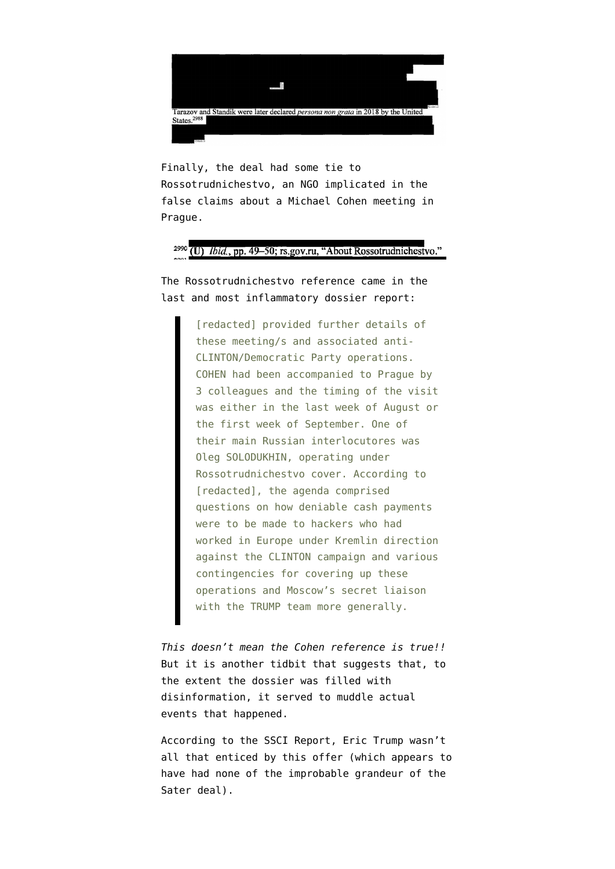

Finally, the deal had some tie to Rossotrudnichestvo, an NGO implicated in the false claims about a Michael Cohen meeting in Prague.

## <sup>2990</sup> (U) Ibid., pp. 49-50; rs.gov.ru, "About Rossotrudnichestvo."

The Rossotrudnichestvo reference came in the last and most [inflammatory dossier report:](https://www.documentcloud.org/documents/3259984-Trump-Intelligence-Allegations.html)

> [redacted] provided further details of these meeting/s and associated anti-CLINTON/Democratic Party operations. COHEN had been accompanied to Prague by 3 colleagues and the timing of the visit was either in the last week of August or the first week of September. One of their main Russian interlocutores was Oleg SOLODUKHIN, operating under Rossotrudnichestvo cover. According to [redacted], the agenda comprised questions on how deniable cash payments were to be made to hackers who had worked in Europe under Kremlin direction against the CLINTON campaign and various contingencies for covering up these operations and Moscow's secret liaison with the TRUMP team more generally.

*This doesn't mean the Cohen reference is true!!* But it is another tidbit that suggests that, to the extent the dossier was filled with disinformation, [it served to muddle actual](https://www.emptywheel.net/2018/08/13/the-dossier-as-disinformation-why-it-would-matter/) [events](https://www.emptywheel.net/2018/08/13/the-dossier-as-disinformation-why-it-would-matter/) that happened.

According to the SSCI Report, Eric Trump wasn't all that enticed by this offer (which appears to have had none of the improbable grandeur of the Sater deal).